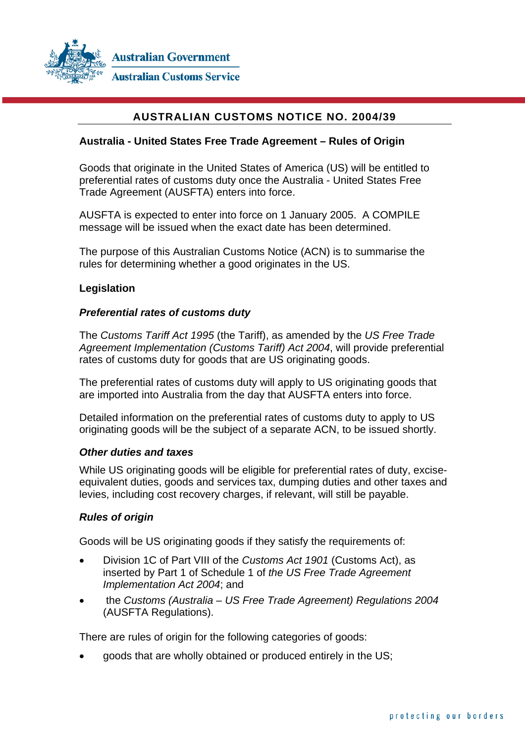

# **AUSTRALIAN CUSTOMS NOTICE NO. 2004/39**

#### **Australia - United States Free Trade Agreement – Rules of Origin**

Goods that originate in the United States of America (US) will be entitled to preferential rates of customs duty once the Australia - United States Free Trade Agreement (AUSFTA) enters into force.

AUSFTA is expected to enter into force on 1 January 2005. A COMPILE message will be issued when the exact date has been determined.

The purpose of this Australian Customs Notice (ACN) is to summarise the rules for determining whether a good originates in the US.

#### **Legislation**

#### *Preferential rates of customs duty*

The *Customs Tariff Act 1995* (the Tariff), as amended by the *US Free Trade Agreement Implementation (Customs Tariff) Act 2004*, will provide preferential rates of customs duty for goods that are US originating goods.

The preferential rates of customs duty will apply to US originating goods that are imported into Australia from the day that AUSFTA enters into force.

Detailed information on the preferential rates of customs duty to apply to US originating goods will be the subject of a separate ACN, to be issued shortly.

#### *Other duties and taxes*

While US originating goods will be eligible for preferential rates of duty, exciseequivalent duties, goods and services tax, dumping duties and other taxes and levies, including cost recovery charges, if relevant, will still be payable.

#### *Rules of origin*

Goods will be US originating goods if they satisfy the requirements of:

- Division 1C of Part VIII of the *Customs Act 1901* (Customs Act), as inserted by Part 1 of Schedule 1 of *the US Free Trade Agreement Implementation Act 2004*; and
- the *Customs (Australia US Free Trade Agreement) Regulations 2004* (AUSFTA Regulations).

There are rules of origin for the following categories of goods:

• goods that are wholly obtained or produced entirely in the US;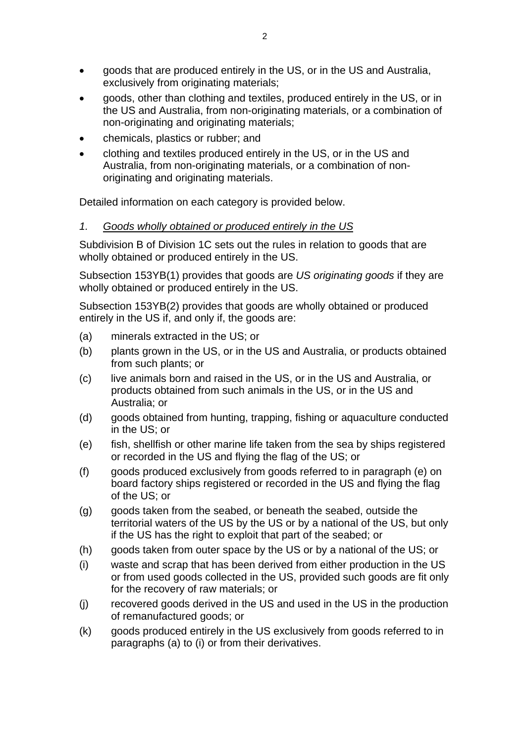- goods that are produced entirely in the US, or in the US and Australia, exclusively from originating materials;
- goods, other than clothing and textiles, produced entirely in the US, or in the US and Australia, from non-originating materials, or a combination of non-originating and originating materials;
- chemicals, plastics or rubber; and
- clothing and textiles produced entirely in the US, or in the US and Australia, from non-originating materials, or a combination of nonoriginating and originating materials.

Detailed information on each category is provided below.

# *1. Goods wholly obtained or produced entirely in the US*

Subdivision B of Division 1C sets out the rules in relation to goods that are wholly obtained or produced entirely in the US.

Subsection 153YB(1) provides that goods are *US originating goods* if they are wholly obtained or produced entirely in the US.

Subsection 153YB(2) provides that goods are wholly obtained or produced entirely in the US if, and only if, the goods are:

- (a) minerals extracted in the US; or
- (b) plants grown in the US, or in the US and Australia, or products obtained from such plants; or
- (c) live animals born and raised in the US, or in the US and Australia, or products obtained from such animals in the US, or in the US and Australia; or
- (d) goods obtained from hunting, trapping, fishing or aquaculture conducted in the US; or
- (e) fish, shellfish or other marine life taken from the sea by ships registered or recorded in the US and flying the flag of the US; or
- (f) goods produced exclusively from goods referred to in paragraph (e) on board factory ships registered or recorded in the US and flying the flag of the US; or
- (g) goods taken from the seabed, or beneath the seabed, outside the territorial waters of the US by the US or by a national of the US, but only if the US has the right to exploit that part of the seabed; or
- (h) goods taken from outer space by the US or by a national of the US; or
- (i) waste and scrap that has been derived from either production in the US or from used goods collected in the US, provided such goods are fit only for the recovery of raw materials; or
- (j) recovered goods derived in the US and used in the US in the production of remanufactured goods; or
- (k) goods produced entirely in the US exclusively from goods referred to in paragraphs (a) to (i) or from their derivatives.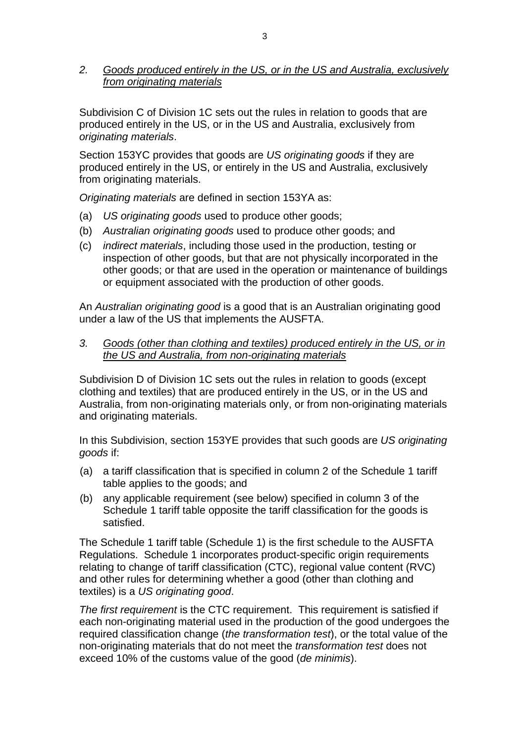### *2. Goods produced entirely in the US, or in the US and Australia, exclusively from originating materials*

Subdivision C of Division 1C sets out the rules in relation to goods that are produced entirely in the US, or in the US and Australia, exclusively from *originating materials*.

Section 153YC provides that goods are *US originating goods* if they are produced entirely in the US, or entirely in the US and Australia, exclusively from originating materials.

*Originating materials* are defined in section 153YA as:

- (a) *US originating goods* used to produce other goods;
- (b) *Australian originating goods* used to produce other goods; and
- (c) *indirect materials*, including those used in the production, testing or inspection of other goods, but that are not physically incorporated in the other goods; or that are used in the operation or maintenance of buildings or equipment associated with the production of other goods.

An *Australian originating good* is a good that is an Australian originating good under a law of the US that implements the AUSFTA.

*3. Goods (other than clothing and textiles) produced entirely in the US, or in the US and Australia, from non-originating materials*

Subdivision D of Division 1C sets out the rules in relation to goods (except clothing and textiles) that are produced entirely in the US, or in the US and Australia, from non-originating materials only, or from non-originating materials and originating materials.

In this Subdivision, section 153YE provides that such goods are *US originating goods* if:

- (a) a tariff classification that is specified in column 2 of the Schedule 1 tariff table applies to the goods; and
- (b) any applicable requirement (see below) specified in column 3 of the Schedule 1 tariff table opposite the tariff classification for the goods is satisfied.

The Schedule 1 tariff table (Schedule 1) is the first schedule to the AUSFTA Regulations. Schedule 1 incorporates product-specific origin requirements relating to change of tariff classification (CTC), regional value content (RVC) and other rules for determining whether a good (other than clothing and textiles) is a *US originating good*.

*The first requirement* is the CTC requirement. This requirement is satisfied if each non-originating material used in the production of the good undergoes the required classification change (*the transformation test*), or the total value of the non-originating materials that do not meet the *transformation test* does not exceed 10% of the customs value of the good (*de minimis*).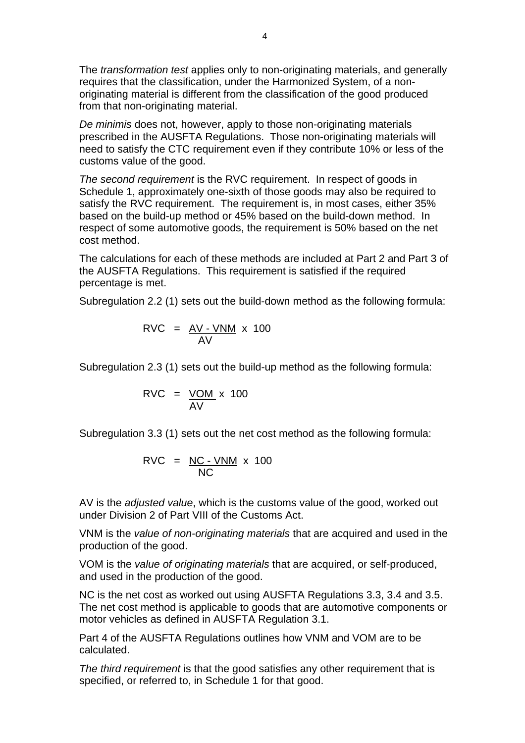The *transformation test* applies only to non-originating materials, and generally requires that the classification, under the Harmonized System, of a nonoriginating material is different from the classification of the good produced from that non-originating material.

*De minimis* does not, however, apply to those non-originating materials prescribed in the AUSFTA Regulations. Those non-originating materials will need to satisfy the CTC requirement even if they contribute 10% or less of the customs value of the good.

*The second requirement* is the RVC requirement. In respect of goods in Schedule 1, approximately one-sixth of those goods may also be required to satisfy the RVC requirement. The requirement is, in most cases, either 35% based on the build-up method or 45% based on the build-down method. In respect of some automotive goods, the requirement is 50% based on the net cost method.

The calculations for each of these methods are included at Part 2 and Part 3 of the AUSFTA Regulations. This requirement is satisfied if the required percentage is met.

Subregulation 2.2 (1) sets out the build-down method as the following formula:

$$
RVC = \frac{AV - VNM}{AV} \times 100
$$

Subregulation 2.3 (1) sets out the build-up method as the following formula:

$$
RVC = \frac{VOM}{AV} \times 100
$$

Subregulation 3.3 (1) sets out the net cost method as the following formula:

$$
RVC = \frac{NC - VNM}{NC} \times 100
$$

AV is the *adjusted value*, which is the customs value of the good, worked out under Division 2 of Part VIII of the Customs Act.

VNM is the *value of non-originating materials* that are acquired and used in the production of the good.

VOM is the *value of originating materials* that are acquired, or self-produced, and used in the production of the good.

NC is the net cost as worked out using AUSFTA Regulations 3.3, 3.4 and 3.5. The net cost method is applicable to goods that are automotive components or motor vehicles as defined in AUSFTA Regulation 3.1.

Part 4 of the AUSFTA Regulations outlines how VNM and VOM are to be calculated.

*The third requirement* is that the good satisfies any other requirement that is specified, or referred to, in Schedule 1 for that good.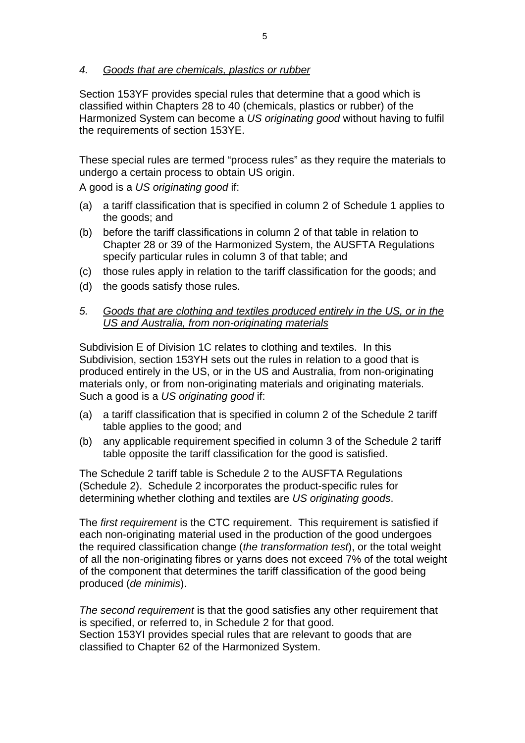*4. Goods that are chemicals, plastics or rubber*

Section 153YF provides special rules that determine that a good which is classified within Chapters 28 to 40 (chemicals, plastics or rubber) of the Harmonized System can become a *US originating good* without having to fulfil the requirements of section 153YE.

These special rules are termed "process rules" as they require the materials to undergo a certain process to obtain US origin.

A good is a *US originating good* if:

- (a) a tariff classification that is specified in column 2 of Schedule 1 applies to the goods; and
- (b) before the tariff classifications in column 2 of that table in relation to Chapter 28 or 39 of the Harmonized System, the AUSFTA Regulations specify particular rules in column 3 of that table; and
- (c) those rules apply in relation to the tariff classification for the goods; and
- (d) the goods satisfy those rules.

### *5. Goods that are clothing and textiles produced entirely in the US, or in the US and Australia, from non-originating materials*

Subdivision E of Division 1C relates to clothing and textiles. In this Subdivision, section 153YH sets out the rules in relation to a good that is produced entirely in the US, or in the US and Australia, from non-originating materials only, or from non-originating materials and originating materials. Such a good is a *US originating good* if:

- (a) a tariff classification that is specified in column 2 of the Schedule 2 tariff table applies to the good; and
- (b) any applicable requirement specified in column 3 of the Schedule 2 tariff table opposite the tariff classification for the good is satisfied.

The Schedule 2 tariff table is Schedule 2 to the AUSFTA Regulations (Schedule 2). Schedule 2 incorporates the product-specific rules for determining whether clothing and textiles are *US originating goods*.

The *first requirement* is the CTC requirement. This requirement is satisfied if each non-originating material used in the production of the good undergoes the required classification change (*the transformation test*), or the total weight of all the non-originating fibres or yarns does not exceed 7% of the total weight of the component that determines the tariff classification of the good being produced (*de minimis*).

*The second requirement* is that the good satisfies any other requirement that is specified, or referred to, in Schedule 2 for that good. Section 153YI provides special rules that are relevant to goods that are classified to Chapter 62 of the Harmonized System.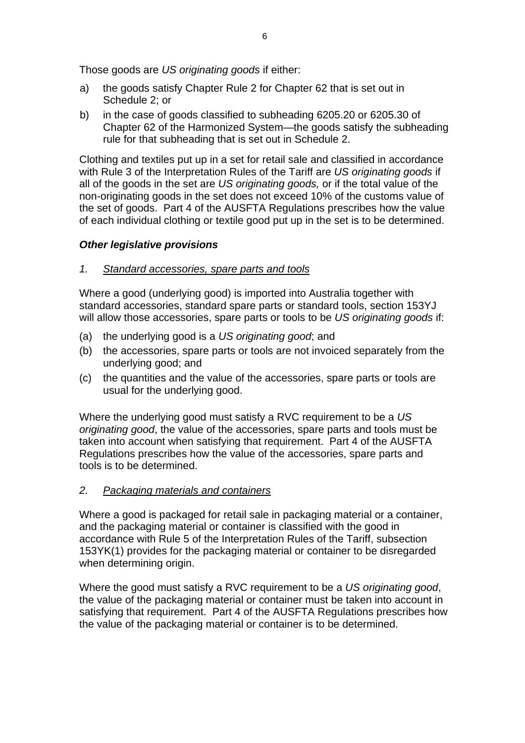Those goods are *US originating goods* if either:

- a) the goods satisfy Chapter Rule 2 for Chapter 62 that is set out in Schedule 2; or
- b) in the case of goods classified to subheading 6205.20 or 6205.30 of Chapter 62 of the Harmonized System—the goods satisfy the subheading rule for that subheading that is set out in Schedule 2.

Clothing and textiles put up in a set for retail sale and classified in accordance with Rule 3 of the Interpretation Rules of the Tariff are *US originating goods* if all of the goods in the set are *US originating goods,* or if the total value of the non-originating goods in the set does not exceed 10% of the customs value of the set of goods. Part 4 of the AUSFTA Regulations prescribes how the value of each individual clothing or textile good put up in the set is to be determined.

### *Other legislative provisions*

### *1. Standard accessories, spare parts and tools*

Where a good (underlying good) is imported into Australia together with standard accessories, standard spare parts or standard tools, section 153YJ will allow those accessories, spare parts or tools to be *US originating goods* if:

- (a) the underlying good is a *US originating good*; and
- (b) the accessories, spare parts or tools are not invoiced separately from the underlying good; and
- (c) the quantities and the value of the accessories, spare parts or tools are usual for the underlying good.

Where the underlying good must satisfy a RVC requirement to be a *US originating good*, the value of the accessories, spare parts and tools must be taken into account when satisfying that requirement. Part 4 of the AUSFTA Regulations prescribes how the value of the accessories, spare parts and tools is to be determined.

### *2. Packaging materials and containers*

Where a good is packaged for retail sale in packaging material or a container, and the packaging material or container is classified with the good in accordance with Rule 5 of the Interpretation Rules of the Tariff, subsection 153YK(1) provides for the packaging material or container to be disregarded when determining origin.

Where the good must satisfy a RVC requirement to be a *US originating good*, the value of the packaging material or container must be taken into account in satisfying that requirement. Part 4 of the AUSFTA Regulations prescribes how the value of the packaging material or container is to be determined.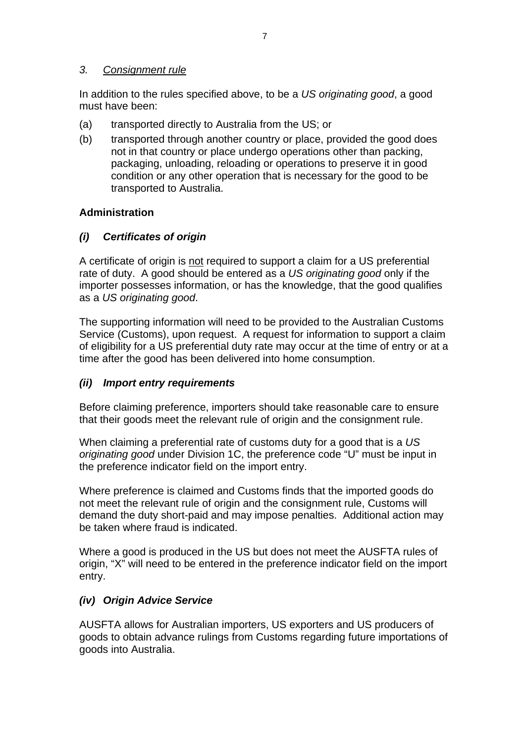# *3. Consignment rule*

In addition to the rules specified above, to be a *US originating good*, a good must have been:

- (a) transported directly to Australia from the US; or
- (b) transported through another country or place, provided the good does not in that country or place undergo operations other than packing, packaging, unloading, reloading or operations to preserve it in good condition or any other operation that is necessary for the good to be transported to Australia.

# **Administration**

# *(i) Certificates of origin*

A certificate of origin is not required to support a claim for a US preferential rate of duty. A good should be entered as a *US originating good* only if the importer possesses information, or has the knowledge, that the good qualifies as a *US originating good*.

The supporting information will need to be provided to the Australian Customs Service (Customs), upon request. A request for information to support a claim of eligibility for a US preferential duty rate may occur at the time of entry or at a time after the good has been delivered into home consumption.

# *(ii) Import entry requirements*

Before claiming preference, importers should take reasonable care to ensure that their goods meet the relevant rule of origin and the consignment rule.

When claiming a preferential rate of customs duty for a good that is a *US originating good* under Division 1C, the preference code "U" must be input in the preference indicator field on the import entry.

Where preference is claimed and Customs finds that the imported goods do not meet the relevant rule of origin and the consignment rule, Customs will demand the duty short-paid and may impose penalties. Additional action may be taken where fraud is indicated.

Where a good is produced in the US but does not meet the AUSFTA rules of origin, "X" will need to be entered in the preference indicator field on the import entry.

# *(iv) Origin Advice Service*

AUSFTA allows for Australian importers, US exporters and US producers of goods to obtain advance rulings from Customs regarding future importations of goods into Australia.